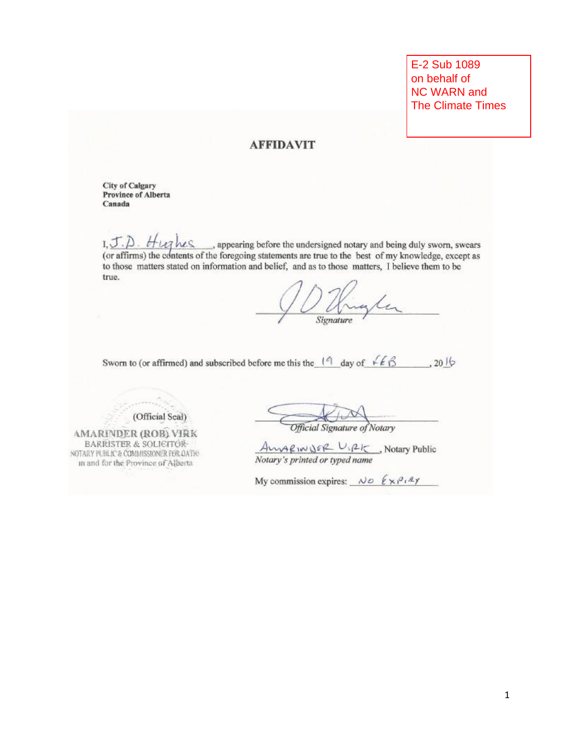E-2 Sub 1089 on behalf of **NC WARN and The Climate Times** 

## **AFFIDAVIT**

**City of Calgary Province of Alberta** Canada

 $I, J, D$ . *H*  $\mu$ <sub>2</sub> hes , appearing before the undersigned notary and being duly sworn, swears (or affirms) the contents of the foregoing statements are true to the best of my knowledge, except as to those matters stated on information and belief, and as to those matters. I believe them to be true.

Signature

Sworn to (or affirmed) and subscribed before me this the  $(9 \text{ day of } 66 \text{ m})$ , 2016

(Official Scal)

**AMARINDER (ROB) VIRK BARRISTER & SOLICITÓR-**NOTARY PUBLIC & COMMISSIONER FOR OATH: in and for the Province of Alberta

Official Signature of Notary

 $\frac{A\vee\vee\vee A\vee\vee A\in\mathbb{R}}{Notary's printed or typed name}$ , Notary Public

My commission expires:  $\wedge$   $\phi$   $\ell \times \rho^{q} \cdot \mathbb{Z}$ y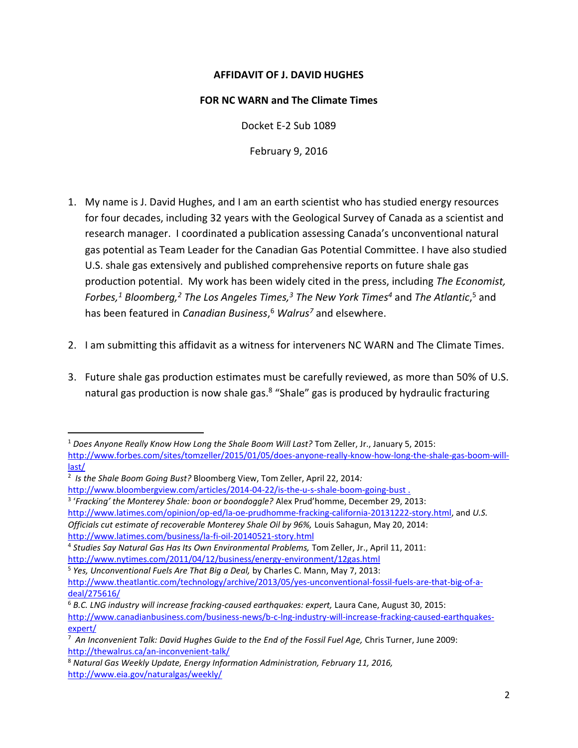## **AFFIDAVIT OF J. DAVID HUGHES**

## **FOR NC WARN and The Climate Times**

Docket E-2 Sub 1089

February 9, 2016

- 1. My name is J. David Hughes, and I am an earth scientist who has studied energy resources for four decades, including 32 years with the Geological Survey of Canada as a scientist and research manager. I coordinated a publication assessing Canada's unconventional natural gas potential as Team Leader for the Canadian Gas Potential Committee. I have also studied U.S. shale gas extensively and published comprehensive reports on future shale gas production potential. My work has been widely cited in the press, including *The Economist, Forbes,<sup>1</sup> Bloomberg,<sup>2</sup> The Los Angeles Times,<sup>3</sup> The New York Times<sup>4</sup>* and *The Atlantic*, <sup>5</sup> and has been featured in *Canadian Business*, <sup>6</sup> *Walrus<sup>7</sup>* and elsewhere.
- 2. I am submitting this affidavit as a witness for interveners NC WARN and The Climate Times.
- 3. Future shale gas production estimates must be carefully reviewed, as more than 50% of U.S. natural gas production is now shale gas.<sup>8</sup> "Shale" gas is produced by hydraulic fracturing

 $\overline{\phantom{a}}$ 

[http://www.latimes.com/opinion/op-ed/la-oe-prudhomme-fracking-california-20131222-story.html,](http://www.latimes.com/opinion/op-ed/la-oe-prudhomme-fracking-california-20131222-story.html) and *U.S. Officials cut estimate of recoverable Monterey Shale Oil by 96%,* Louis Sahagun, May 20, 2014: <http://www.latimes.com/business/la-fi-oil-20140521-story.html>

<sup>1</sup> *Does Anyone Really Know How Long the Shale Boom Will Last?* Tom Zeller, Jr., January 5, 2015: [http://www.forbes.com/sites/tomzeller/2015/01/05/does-anyone-really-know-how-long-the-shale-gas-boom-will](http://www.forbes.com/sites/tomzeller/2015/01/05/does-anyone-really-know-how-long-the-shale-gas-boom-will-last/)[last/](http://www.forbes.com/sites/tomzeller/2015/01/05/does-anyone-really-know-how-long-the-shale-gas-boom-will-last/)

<sup>2</sup> *Is the Shale Boom Going Bust?* Bloomberg View, Tom Zeller, April 22, 2014*:* 

<http://www.bloombergview.com/articles/2014-04-22/is-the-u-s-shale-boom-going-bust>.

<sup>3</sup> '*Fracking' the Monterey Shale: boon or boondoggle?* Alex Prud'homme, December 29, 2013:

<sup>4</sup> *Studies Say Natural Gas Has Its Own Environmental Problems,* Tom Zeller, Jr., April 11, 2011:

<http://www.nytimes.com/2011/04/12/business/energy-environment/12gas.html>

<sup>5</sup> *Yes, Unconventional Fuels Are That Big a Deal,* by Charles C. Mann, May 7, 2013:

[http://www.theatlantic.com/technology/archive/2013/05/yes-unconventional-fossil-fuels-are-that-big-of-a](http://www.theatlantic.com/technology/archive/2013/05/yes-unconventional-fossil-fuels-are-that-big-of-a-deal/275616/)[deal/275616/](http://www.theatlantic.com/technology/archive/2013/05/yes-unconventional-fossil-fuels-are-that-big-of-a-deal/275616/)

<sup>6</sup> *B.C. LNG industry will increase fracking-caused earthquakes: expert,* Laura Cane, August 30, 2015: [http://www.canadianbusiness.com/business-news/b-c-lng-industry-will-increase-fracking-caused-earthquakes](http://www.canadianbusiness.com/business-news/b-c-lng-industry-will-increase-fracking-caused-earthquakes-expert/)[expert/](http://www.canadianbusiness.com/business-news/b-c-lng-industry-will-increase-fracking-caused-earthquakes-expert/)

<sup>7</sup> *An Inconvenient Talk: David Hughes Guide to the End of the Fossil Fuel Age,* Chris Turner, June 2009: <http://thewalrus.ca/an-inconvenient-talk/>

<sup>8</sup> *Natural Gas Weekly Update, Energy Information Administration, February 11, 2016,* <http://www.eia.gov/naturalgas/weekly/>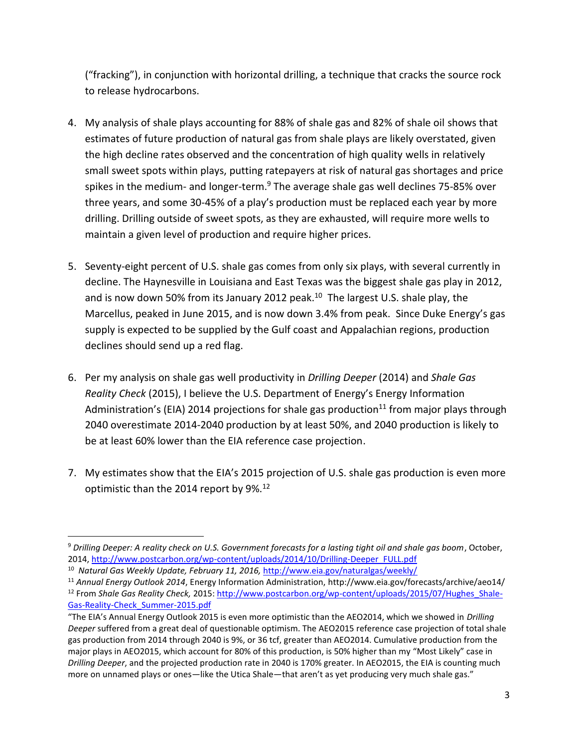("fracking"), in conjunction with horizontal drilling, a technique that cracks the source rock to release hydrocarbons.

- 4. My analysis of shale plays accounting for 88% of shale gas and 82% of shale oil shows that estimates of future production of natural gas from shale plays are likely overstated, given the high decline rates observed and the concentration of high quality wells in relatively small sweet spots within plays, putting ratepayers at risk of natural gas shortages and price spikes in the medium- and longer-term.<sup>9</sup> The average shale gas well declines 75-85% over three years, and some 30-45% of a play's production must be replaced each year by more drilling. Drilling outside of sweet spots, as they are exhausted, will require more wells to maintain a given level of production and require higher prices.
- 5. Seventy-eight percent of U.S. shale gas comes from only six plays, with several currently in decline. The Haynesville in Louisiana and East Texas was the biggest shale gas play in 2012, and is now down 50% from its January 2012 peak. 10 The largest U.S. shale play, the Marcellus, peaked in June 2015, and is now down 3.4% from peak. Since Duke Energy's gas supply is expected to be supplied by the Gulf coast and Appalachian regions, production declines should send up a red flag.
- 6. Per my analysis on shale gas well productivity in *Drilling Deeper* (2014) and *Shale Gas Reality Check* (2015), I believe the U.S. Department of Energy's Energy Information Administration's (EIA) 2014 projections for shale gas production<sup>11</sup> from major plays through 2040 overestimate 2014-2040 production by at least 50%, and 2040 production is likely to be at least 60% lower than the EIA reference case projection.
- 7. My estimates show that the EIA's 2015 projection of U.S. shale gas production is even more optimistic than the 2014 report by 9%.<sup>12</sup>

 $\overline{\phantom{a}}$ <sup>9</sup> *Drilling Deeper: A reality check on U.S. Government forecasts for a lasting tight oil and shale gas boom*, October, 2014, [http://www.postcarbon.org/wp-content/uploads/2014/10/Drilling-Deeper\\_FULL.pdf](http://www.postcarbon.org/wp-content/uploads/2014/10/Drilling-Deeper_FULL.pdf)

<sup>10</sup> *Natural Gas Weekly Update, February 11, 2016,* <http://www.eia.gov/naturalgas/weekly/>

<sup>11</sup> *Annual Energy Outlook 2014*, Energy Information Administration, http://www.eia.gov/forecasts/archive/aeo14/ <sup>12</sup> From *Shale Gas Reality Check,* 2015: [http://www.postcarbon.org/wp-content/uploads/2015/07/Hughes\\_Shale-](http://www.postcarbon.org/wp-content/uploads/2015/07/Hughes_Shale-Gas-Reality-Check_Summer-2015.pdf)[Gas-Reality-Check\\_Summer-2015.pdf](http://www.postcarbon.org/wp-content/uploads/2015/07/Hughes_Shale-Gas-Reality-Check_Summer-2015.pdf) 

<sup>&</sup>quot;The EIA's Annual Energy Outlook 2015 is even more optimistic than the AEO2014, which we showed in *Drilling Deeper* suffered from a great deal of questionable optimism. The AEO2015 reference case projection of total shale gas production from 2014 through 2040 is 9%, or 36 tcf, greater than AEO2014. Cumulative production from the major plays in AEO2015, which account for 80% of this production, is 50% higher than my "Most Likely" case in *Drilling Deeper*, and the projected production rate in 2040 is 170% greater. In AEO2015, the EIA is counting much more on unnamed plays or ones—like the Utica Shale—that aren't as yet producing very much shale gas."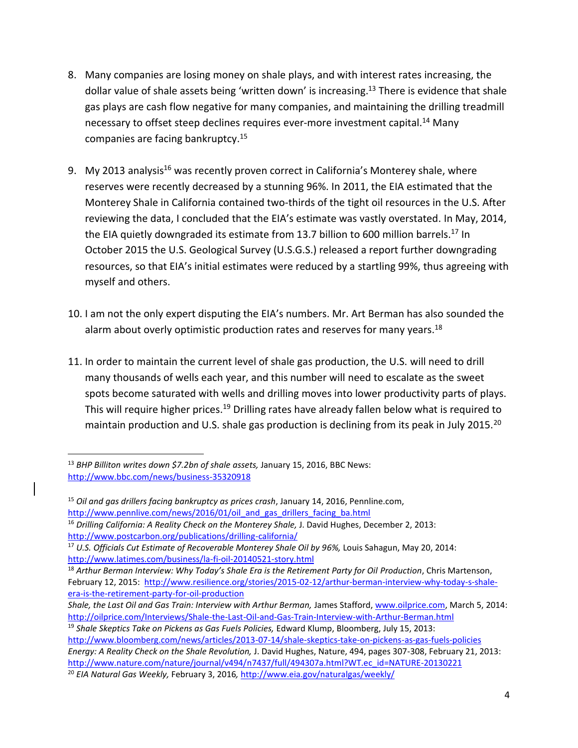- 8. Many companies are losing money on shale plays, and with interest rates increasing, the dollar value of shale assets being 'written down' is increasing.<sup>13</sup> There is evidence that shale gas plays are cash flow negative for many companies, and maintaining the drilling treadmill necessary to offset steep declines requires ever-more investment capital.<sup>14</sup> Many companies are facing bankruptcy.<sup>15</sup>
- 9. My 2013 analysis<sup>16</sup> was recently proven correct in California's Monterey shale, where reserves were recently decreased by a stunning 96%. In 2011, the EIA estimated that the Monterey Shale in California contained two-thirds of the tight oil resources in the U.S. After reviewing the data, I concluded that the EIA's estimate was vastly overstated. In May, 2014, the EIA quietly downgraded its estimate from 13.7 billion to 600 million barrels.<sup>17</sup> In October 2015 the U.S. Geological Survey (U.S.G.S.) released a report further downgrading resources, so that EIA's initial estimates were reduced by a startling 99%, thus agreeing with myself and others.
- 10. I am not the only expert disputing the EIA's numbers. Mr. Art Berman has also sounded the alarm about overly optimistic production rates and reserves for many years.<sup>18</sup>
- 11. In order to maintain the current level of shale gas production, the U.S. will need to drill many thousands of wells each year, and this number will need to escalate as the sweet spots become saturated with wells and drilling moves into lower productivity parts of plays. This will require higher prices.<sup>19</sup> Drilling rates have already fallen below what is required to maintain production and U.S. shale gas production is declining from its peak in July 2015.<sup>20</sup>

 $\overline{\phantom{a}}$ 

<sup>13</sup> *BHP Billiton writes down \$7.2bn of shale assets,* January 15, 2016, BBC News: <http://www.bbc.com/news/business-35320918>

<sup>15</sup> *Oil and gas drillers facing bankruptcy as prices crash*, January 14, 2016, Pennline.com, http://www.pennlive.com/news/2016/01/oil and gas drillers facing ba.html

<sup>16</sup> *Drilling California: A Reality Check on the Monterey Shale,* J. David Hughes, December 2, 2013: <http://www.postcarbon.org/publications/drilling-california/>

<sup>17</sup> *U.S. Officials Cut Estimate of Recoverable Monterey Shale Oil by 96%,* Louis Sahagun, May 20, 2014: <http://www.latimes.com/business/la-fi-oil-20140521-story.html>

<sup>&</sup>lt;sup>18</sup> Arthur Berman Interview: Why Today's Shale Era is the Retirement Party for Oil Production, Chris Martenson, February 12, 2015: [http://www.resilience.org/stories/2015-02-12/arthur-berman-interview-why-today-s-shale](http://www.resilience.org/stories/2015-02-12/arthur-berman-interview-why-today-s-shale-era-is-the-retirement-party-for-oil-production)[era-is-the-retirement-party-for-oil-production](http://www.resilience.org/stories/2015-02-12/arthur-berman-interview-why-today-s-shale-era-is-the-retirement-party-for-oil-production)

*Shale, the Last Oil and Gas Train: Interview with Arthur Berman,* James Stafford[, www.oilprice.com,](http://www.oilprice.com/) March 5, 2014: <http://oilprice.com/Interviews/Shale-the-Last-Oil-and-Gas-Train-Interview-with-Arthur-Berman.html>

<sup>&</sup>lt;sup>19</sup> Shale Skeptics Take on Pickens as Gas Fuels Policies, Edward Klump, Bloomberg, July 15, 2013: <http://www.bloomberg.com/news/articles/2013-07-14/shale-skeptics-take-on-pickens-as-gas-fuels-policies> *Energy: A Reality Check on the Shale Revolution,* J. David Hughes, Nature, 494, pages 307-308, February 21, 2013: [http://www.nature.com/nature/journal/v494/n7437/full/494307a.html?WT.ec\\_id=NATURE-20130221](http://www.nature.com/nature/journal/v494/n7437/full/494307a.html?WT.ec_id=NATURE-20130221) <sup>20</sup> *EIA Natural Gas Weekly,* February 3, 2016*,* <http://www.eia.gov/naturalgas/weekly/>